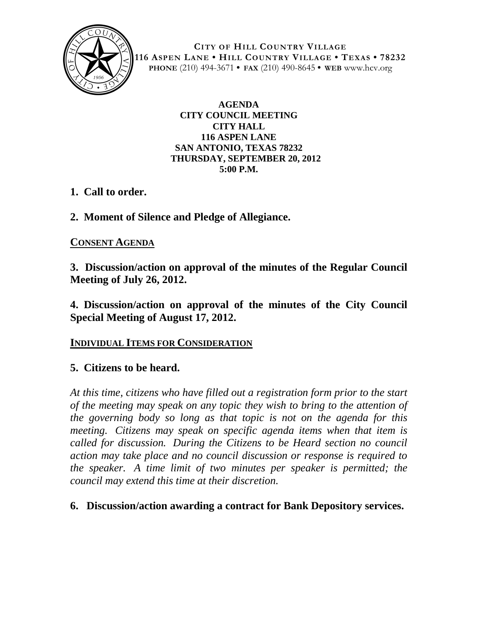

**CITY OF HILL COUNTRY VILLAGE 116 ASPEN LANE • HILL COUNTRY VILLAGE • TEXAS • 78232 PHONE** (210) 494-3671 **• FAX** (210) 490-8645 **• WEB** www.hcv.org

> **AGENDA CITY COUNCIL MEETING CITY HALL 116 ASPEN LANE SAN ANTONIO, TEXAS 78232 THURSDAY, SEPTEMBER 20, 2012 5:00 P.M.**

- **1. Call to order.**
- **2. Moment of Silence and Pledge of Allegiance.**

## **CONSENT AGENDA**

**3. Discussion/action on approval of the minutes of the Regular Council Meeting of July 26, 2012.**

**4. Discussion/action on approval of the minutes of the City Council Special Meeting of August 17, 2012.**

### **INDIVIDUAL ITEMS FOR CONSIDERATION**

# **5. Citizens to be heard.**

*At this time, citizens who have filled out a registration form prior to the start of the meeting may speak on any topic they wish to bring to the attention of the governing body so long as that topic is not on the agenda for this meeting. Citizens may speak on specific agenda items when that item is called for discussion. During the Citizens to be Heard section no council action may take place and no council discussion or response is required to the speaker. A time limit of two minutes per speaker is permitted; the council may extend this time at their discretion.*

### **6. Discussion/action awarding a contract for Bank Depository services.**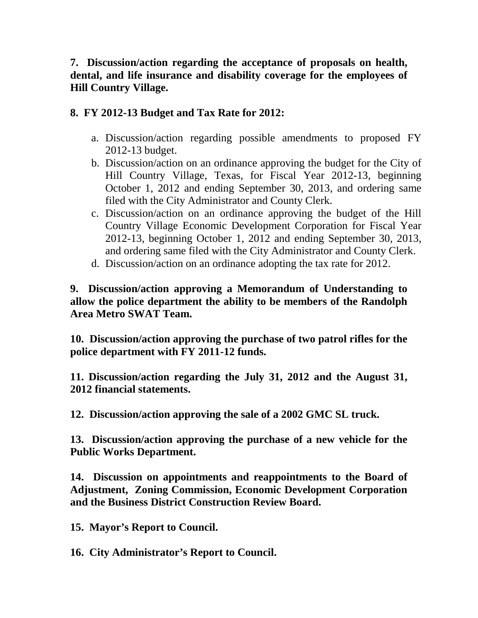### **7. Discussion/action regarding the acceptance of proposals on health, dental, and life insurance and disability coverage for the employees of Hill Country Village.**

### **8. FY 2012-13 Budget and Tax Rate for 2012:**

- a. Discussion/action regarding possible amendments to proposed FY 2012-13 budget.
- b. Discussion/action on an ordinance approving the budget for the City of Hill Country Village, Texas, for Fiscal Year 2012-13, beginning October 1, 2012 and ending September 30, 2013, and ordering same filed with the City Administrator and County Clerk.
- c. Discussion/action on an ordinance approving the budget of the Hill Country Village Economic Development Corporation for Fiscal Year 2012-13, beginning October 1, 2012 and ending September 30, 2013, and ordering same filed with the City Administrator and County Clerk.
- d. Discussion/action on an ordinance adopting the tax rate for 2012.

**9. Discussion/action approving a Memorandum of Understanding to allow the police department the ability to be members of the Randolph Area Metro SWAT Team.**

**10. Discussion/action approving the purchase of two patrol rifles for the police department with FY 2011-12 funds.**

**11. Discussion/action regarding the July 31, 2012 and the August 31, 2012 financial statements.**

**12. Discussion/action approving the sale of a 2002 GMC SL truck.**

**13. Discussion/action approving the purchase of a new vehicle for the Public Works Department.**

**14. Discussion on appointments and reappointments to the Board of Adjustment, Zoning Commission, Economic Development Corporation and the Business District Construction Review Board.** 

**15. Mayor's Report to Council.**

**16. City Administrator's Report to Council.**